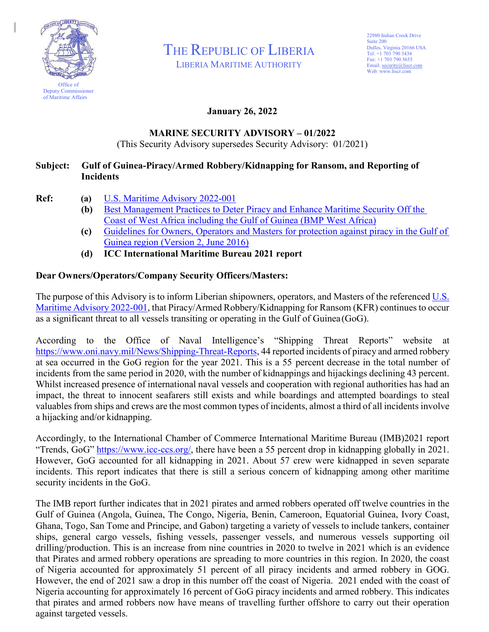

THE REPUBLIC OF LIBERIA

LIBERIA MARITIME AUTHORITY

## **January 26, 2022**

## **MARINE SECURITY ADVISORY – 01/2022**

(This Security Advisory supersedes Security Advisory: 01/2021)

## **Subject: Gulf of Guinea-Piracy/Armed Robbery/Kidnapping for Ransom, and Reporting of Incidents**

- **Ref: (a)** [U.S. Maritime Advisory 2022-001](https://www.oni.navy.mil/News/Shipping-Threat-Reports/)
	- **(b)** [Best Management Practices to Deter Piracy and Enhance Maritime Security Off the](https://www.liscr.com/sites/default/files/BMP%20West%20Africa.pdf) Coast of West Africa including the Gulf of Guinea (BMP West Africa)
	- **(c)** [Guidelines for Owners, Operators and Masters for protection against piracy in the Gulf of](https://www.liscr.com/sites/default/files/Security-GOG-Guidelines-V3.pdf) Guinea region (Version 2, June 2016)
	- **(d) ICC International Maritime Bureau 2021 report**

## **Dear Owners/Operators/Company Security Officers/Masters:**

The purpose of this Advisory is to inform Liberian shipowners, operators, and Masters of the referenced [U.S.](https://www.oni.navy.mil/News/Shipping-Threat-Reports/) [Maritime Advisory 2022-001,](https://www.oni.navy.mil/News/Shipping-Threat-Reports/) that Piracy/Armed Robbery/Kidnapping for Ransom (KFR) continues to occur as a significant threat to all vessels transiting or operating in the Gulf of Guinea (GoG).

According to the Office of Naval Intelligence's "Shipping Threat Reports" website at [https://www.oni.navy.mil/News/Shipping-Threat-Reports,](http://www.oni.navy.mil/News/Shipping-Threat-Reports) 44 reported incidents of piracy and armed robbery at sea occurred in the GoG region for the year 2021. This is a 55 percent decrease in the total number of incidents from the same period in 2020, with the number of kidnappings and hijackings declining 43 percent. Whilst increased presence of international naval vessels and cooperation with regional authorities has had an impact, the threat to innocent seafarers still exists and while boardings and attempted boardings to steal valuables from ships and crews are the most common types of incidents, almost a third of all incidents involve a hijacking and/or kidnapping.

Accordingly, to the International Chamber of Commerce International Maritime Bureau (IMB)2021 report "Trends, GoG" [https://www.icc-ccs.org/,](https://www.icc-ccs.org/) there have been a 55 percent drop in kidnapping globally in 2021. However, GoG accounted for all kidnapping in 2021. About 57 crew were kidnapped in seven separate incidents. This report indicates that there is still a serious concern of kidnapping among other maritime security incidents in the GoG.

The IMB report further indicates that in 2021 pirates and armed robbers operated off twelve countries in the Gulf of Guinea (Angola, Guinea, The Congo, Nigeria, Benin, Cameroon, Equatorial Guinea, Ivory Coast, Ghana, Togo, San Tome and Principe, and Gabon) targeting a variety of vessels to include tankers, container ships, general cargo vessels, fishing vessels, passenger vessels, and numerous vessels supporting oil drilling/production. This is an increase from nine countries in 2020 to twelve in 2021 which is an evidence that Pirates and armed robbery operations are spreading to more countries in this region. In 2020, the coast of Nigeria accounted for approximately 51 percent of all piracy incidents and armed robbery in GOG. However, the end of 2021 saw a drop in this number off the coast of Nigeria. 2021 ended with the coast of Nigeria accounting for approximately 16 percent of GoG piracy incidents and armed robbery. This indicates that pirates and armed robbers now have means of travelling further offshore to carry out their operation against targeted vessels.